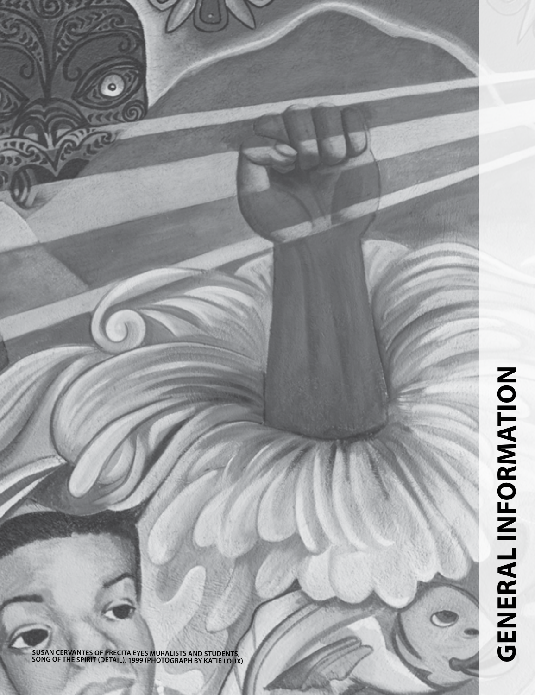

**SUSAN CERVANTES OF PRECITA EYES MURALISTS AND STUDENTS, SONG OF THE SPIRIT (DETAIL), 1999 (PHOTOGRAPH BY KATIE LOUX)**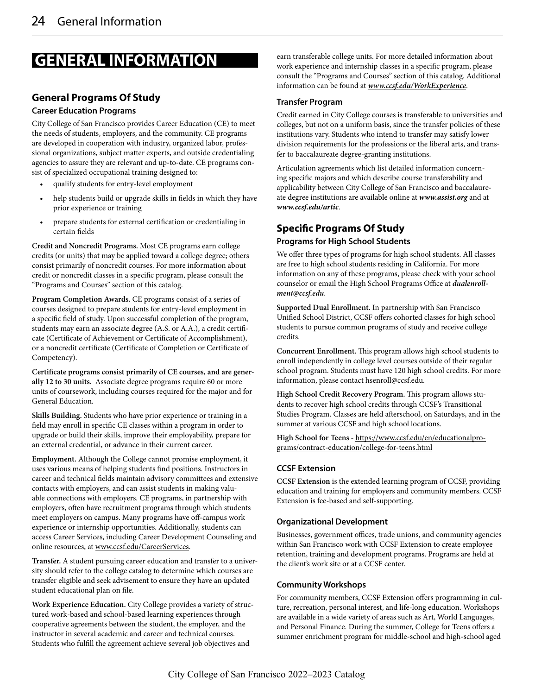# **GENERAL INFORMATION**

# **General Programs Of Study**

# **Career Education Programs**

City College of San Francisco provides Career Education (CE) to meet the needs of students, employers, and the community. CE programs are developed in cooperation with industry, organized labor, professional organizations, subject matter experts, and outside credentialing agencies to assure they are relevant and up-to-date. CE programs consist of specialized occupational training designed to:

- qualify students for entry-level employment
- help students build or upgrade skills in fields in which they have prior experience or training
- prepare students for external certification or credentialing in certain fields

**Credit and Noncredit Programs.** Most CE programs earn college credits (or units) that may be applied toward a college degree; others consist primarily of noncredit courses. For more information about credit or noncredit classes in a specific program, please consult the "Programs and Courses" section of this catalog.

**Program Completion Awards.** CE programs consist of a series of courses designed to prepare students for entry-level employment in a specific field of study. Upon successful completion of the program, students may earn an associate degree (A.S. or A.A.), a credit certificate (Certificate of Achievement or Certificate of Accomplishment), or a noncredit certificate (Certificate of Completion or Certificate of Competency).

**Certificate programs consist primarily of CE courses, and are generally 12 to 30 units.** Associate degree programs require 60 or more units of coursework, including courses required for the major and for General Education.

**Skills Building.** Students who have prior experience or training in a field may enroll in specific CE classes within a program in order to upgrade or build their skills, improve their employability, prepare for an external credential, or advance in their current career.

**Employment.** Although the College cannot promise employment, it uses various means of helping students find positions. Instructors in career and technical fields maintain advisory committees and extensive contacts with employers, and can assist students in making valuable connections with employers. CE programs, in partnership with employers, often have recruitment programs through which students meet employers on campus. Many programs have off-campus work experience or internship opportunities. Additionally, students can access Career Services, including Career Development Counseling and online resources, at www.ccsf.edu/CareerServices.

**Transfer.** A student pursuing career education and transfer to a university should refer to the college catalog to determine which courses are transfer eligible and seek advisement to ensure they have an updated student educational plan on file.

**Work Experience Education.** City College provides a variety of structured work-based and school-based learning experiences through cooperative agreements between the student, the employer, and the instructor in several academic and career and technical courses. Students who fulfill the agreement achieve several job objectives and

earn transferable college units. For more detailed information about work experience and internship classes in a specific program, please consult the "Programs and Courses" section of this catalog. Additional information can be found at *www.ccsf.edu/WorkExperience*.

# **Transfer Program**

Credit earned in City College courses is transferable to universities and colleges, but not on a uniform basis, since the transfer policies of these institutions vary. Students who intend to transfer may satisfy lower division requirements for the professions or the liberal arts, and transfer to baccalaureate degree-granting institutions.

Articulation agreements which list detailed information concerning specific majors and which describe course transferability and applicability between City College of San Francisco and baccalaureate degree institutions are available online at *www.assist.org* and at *www.ccsf.edu/artic*.

# **Specific Programs Of Study**

# **Programs for High School Students**

We offer three types of programs for high school students. All classes are free to high school students residing in California. For more information on any of these programs, please check with your school counselor or email the High School Programs Office at *dualenrollment@ccsf.edu*.

**Supported Dual Enrollment.** In partnership with San Francisco Unified School District, CCSF offers cohorted classes for high school students to pursue common programs of study and receive college credits.

**Concurrent Enrollment.** This program allows high school students to enroll independently in college level courses outside of their regular school program. Students must have 120 high school credits. For more information, please contact hsenroll@ccsf.edu.

**High School Credit Recovery Program.** This program allows students to recover high school credits through CCSF's Transitional Studies Program. Classes are held afterschool, on Saturdays, and in the summer at various CCSF and high school locations.

**High School for Teens -** https://www.ccsf.edu/en/educationalprograms/contract-education/college-for-teens.html

# **CCSF Extension**

**CCSF Extension** is the extended learning program of CCSF, providing education and training for employers and community members. CCSF Extension is fee-based and self-supporting.

# **Organizational Development**

Businesses, government offices, trade unions, and community agencies within San Francisco work with CCSF Extension to create employee retention, training and development programs. Programs are held at the client's work site or at a CCSF center.

# **Community Workshops**

For community members, CCSF Extension offers programming in culture, recreation, personal interest, and life-long education. Workshops are available in a wide variety of areas such as Art, World Languages, and Personal Finance. During the summer, College for Teens offers a summer enrichment program for middle-school and high-school aged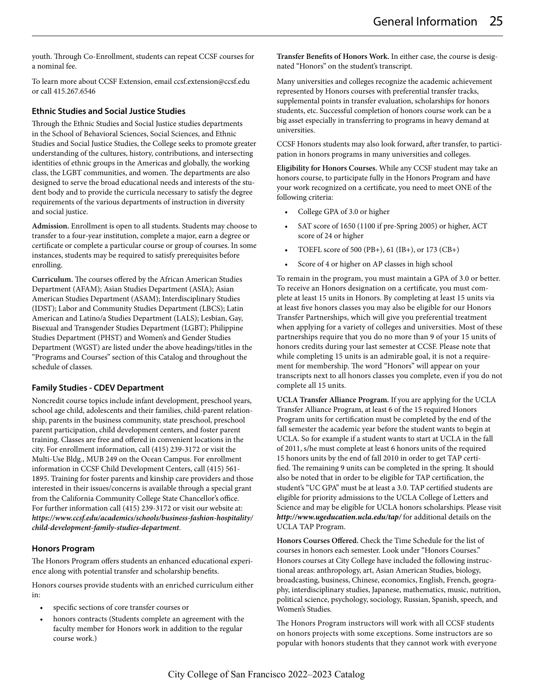youth. Through Co-Enrollment, students can repeat CCSF courses for a nominal fee.

To learn more about CCSF Extension, email ccsf.extension@ccsf.edu or call 415.267.6546

#### **Ethnic Studies and Social Justice Studies**

Through the Ethnic Studies and Social Justice studies departments in the School of Behavioral Sciences, Social Sciences, and Ethnic Studies and Social Justice Studies, the College seeks to promote greater understanding of the cultures, history, contributions, and intersecting identities of ethnic groups in the Americas and globally, the working class, the LGBT communities, and women. The departments are also designed to serve the broad educational needs and interests of the student body and to provide the curricula necessary to satisfy the degree requirements of the various departments of instruction in diversity and social justice.

**Admission.** Enrollment is open to all students. Students may choose to transfer to a four-year institution, complete a major, earn a degree or certificate or complete a particular course or group of courses. In some instances, students may be required to satisfy prerequisites before enrolling.

**Curriculum.** The courses offered by the African American Studies Department (AFAM); Asian Studies Department (ASIA); Asian American Studies Department (ASAM); Interdisciplinary Studies (IDST); Labor and Community Studies Department (LBCS); Latin American and Latino/a Studies Department (LALS); Lesbian, Gay, Bisexual and Transgender Studies Department (LGBT); Philippine Studies Department (PHST) and Women's and Gender Studies Department (WGST) are listed under the above headings/titles in the "Programs and Courses" section of this Catalog and throughout the schedule of classes.

#### **Family Studies - CDEV Department**

Noncredit course topics include infant development, preschool years, school age child, adolescents and their families, child-parent relationship, parents in the business community, state preschool, preschool parent participation, child development centers, and foster parent training. Classes are free and offered in convenient locations in the city. For enrollment information, call (415) 239-3172 or visit the Multi-Use Bldg., MUB 249 on the Ocean Campus. For enrollment information in CCSF Child Development Centers, call (415) 561- 1895. Training for foster parents and kinship care providers and those interested in their issues/concerns is available through a special grant from the California Community College State Chancellor's office. For further information call (415) 239-3172 or visit our website at: *https://www.ccsf.edu/academics/schools/business-fashion-hospitality/ child-development-family-studies-department*.

#### **Honors Program**

The Honors Program offers students an enhanced educational experience along with potential transfer and scholarship benefits.

Honors courses provide students with an enriched curriculum either in:

- specific sections of core transfer courses or
- honors contracts (Students complete an agreement with the faculty member for Honors work in addition to the regular course work.)

**Transfer Benefits of Honors Work.** In either case, the course is designated "Honors" on the student's transcript.

Many universities and colleges recognize the academic achievement represented by Honors courses with preferential transfer tracks, supplemental points in transfer evaluation, scholarships for honors students, etc. Successful completion of honors course work can be a big asset especially in transferring to programs in heavy demand at universities.

CCSF Honors students may also look forward, after transfer, to participation in honors programs in many universities and colleges.

**Eligibility for Honors Courses.** While any CCSF student may take an honors course, to participate fully in the Honors Program and have your work recognized on a certificate, you need to meet ONE of the following criteria:

- College GPA of 3.0 or higher
- SAT score of 1650 (1100 if pre-Spring 2005) or higher, ACT score of 24 or higher
- TOEFL score of 500 (PB+), 61 (IB+), or 173 (CB+)
- Score of 4 or higher on AP classes in high school

To remain in the program, you must maintain a GPA of 3.0 or better. To receive an Honors designation on a certificate, you must complete at least 15 units in Honors. By completing at least 15 units via at least five honors classes you may also be eligible for our Honors Transfer Partnerships, which will give you preferential treatment when applying for a variety of colleges and universities. Most of these partnerships require that you do no more than 9 of your 15 units of honors credits during your last semester at CCSF. Please note that while completing 15 units is an admirable goal, it is not a requirement for membership. The word "Honors" will appear on your transcripts next to all honors classes you complete, even if you do not complete all 15 units.

**UCLA Transfer Alliance Program.** If you are applying for the UCLA Transfer Alliance Program, at least 6 of the 15 required Honors Program units for certification must be completed by the end of the fall semester the academic year before the student wants to begin at UCLA. So for example if a student wants to start at UCLA in the fall of 2011, s/he must complete at least 6 honors units of the required 15 honors units by the end of fall 2010 in order to get TAP certified. The remaining 9 units can be completed in the spring. It should also be noted that in order to be eligible for TAP certification, the student's "UC GPA" must be at least a 3.0. TAP certified students are eligible for priority admissions to the UCLA College of Letters and Science and may be eligible for UCLA honors scholarships. Please visit *http://www.ugeducation.ucla.edu/tap/* for additional details on the UCLA TAP Program.

**Honors Courses Offered.** Check the Time Schedule for the list of courses in honors each semester. Look under "Honors Courses." Honors courses at City College have included the following instructional areas: anthropology, art, Asian American Studies, biology, broadcasting, business, Chinese, economics, English, French, geography, interdisciplinary studies, Japanese, mathematics, music, nutrition, political science, psychology, sociology, Russian, Spanish, speech, and Women's Studies.

The Honors Program instructors will work with all CCSF students on honors projects with some exceptions. Some instructors are so popular with honors students that they cannot work with everyone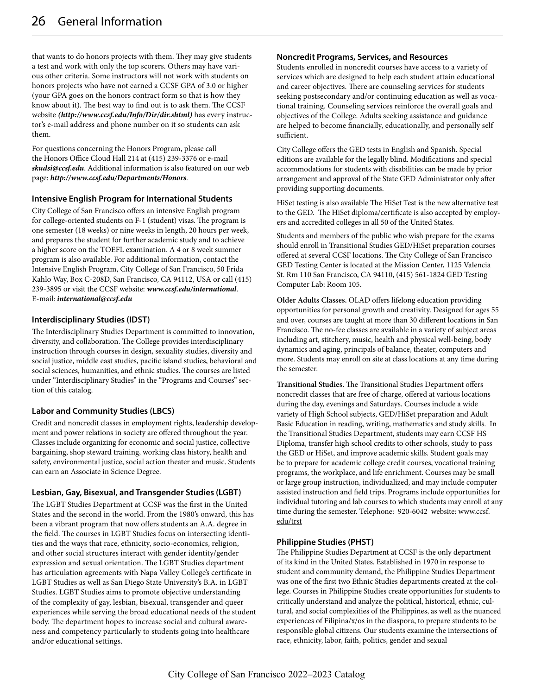that wants to do honors projects with them. They may give students a test and work with only the top scorers. Others may have various other criteria. Some instructors will not work with students on honors projects who have not earned a CCSF GPA of 3.0 or higher (your GPA goes on the honors contract form so that is how they know about it). The best way to find out is to ask them. The CCSF website *(http://www.ccsf.edu/Info/Dir/dir.shtml)* has every instructor's e-mail address and phone number on it so students can ask them.

For questions concerning the Honors Program, please call the Honors Office Cloud Hall 214 at (415) 239-3376 or e-mail *skudsi@ccsf.edu*. Additional information is also featured on our web page: *http://www.ccsf.edu/Departments/Honors*.

## **Intensive English Program for International Students**

City College of San Francisco offers an intensive English program for college-oriented students on F-1 (student) visas. The program is one semester (18 weeks) or nine weeks in length, 20 hours per week, and prepares the student for further academic study and to achieve a higher score on the TOEFL examination. A 4 or 8 week summer program is also available. For additional information, contact the Intensive English Program, City College of San Francisco, 50 Frida Kahlo Way, Box C-208D, San Francisco, CA 94112, USA or call (415) 239-3895 or visit the CCSF website: *www.ccsf.edu/international*. E-mail: *international@ccsf.edu*

# **Interdisciplinary Studies (IDST)**

The Interdisciplinary Studies Department is committed to innovation, diversity, and collaboration. The College provides interdisciplinary instruction through courses in design, sexuality studies, diversity and social justice, middle east studies, pacific island studies, behavioral and social sciences, humanities, and ethnic studies. The courses are listed under "Interdisciplinary Studies" in the "Programs and Courses" section of this catalog.

# **Labor and Community Studies (LBCS)**

Credit and noncredit classes in employment rights, leadership development and power relations in society are offered throughout the year. Classes include organizing for economic and social justice, collective bargaining, shop steward training, working class history, health and safety, environmental justice, social action theater and music. Students can earn an Associate in Science Degree.

#### **Lesbian, Gay, Bisexual, and Transgender Studies (LGBT)**

The LGBT Studies Department at CCSF was the first in the United States and the second in the world. From the 1980's onward, this has been a vibrant program that now offers students an A.A. degree in the field. The courses in LGBT Studies focus on intersecting identities and the ways that race, ethnicity, socio-economics, religion, and other social structures interact with gender identity/gender expression and sexual orientation. The LGBT Studies department has articulation agreements with Napa Valley College's certificate in LGBT Studies as well as San Diego State University's B.A. in LGBT Studies. LGBT Studies aims to promote objective understanding of the complexity of gay, lesbian, bisexual, transgender and queer experiences while serving the broad educational needs of the student body. The department hopes to increase social and cultural awareness and competency particularly to students going into healthcare and/or educational settings.

#### **Noncredit Programs, Services, and Resources**

Students enrolled in noncredit courses have access to a variety of services which are designed to help each student attain educational and career objectives. There are counseling services for students seeking postsecondary and/or continuing education as well as vocational training. Counseling services reinforce the overall goals and objectives of the College. Adults seeking assistance and guidance are helped to become financially, educationally, and personally self sufficient.

City College offers the GED tests in English and Spanish. Special editions are available for the legally blind. Modifications and special accommodations for students with disabilities can be made by prior arrangement and approval of the State GED Administrator only after providing supporting documents.

HiSet testing is also available The HiSet Test is the new alternative test to the GED. The HiSet diploma/certificate is also accepted by employers and accredited colleges in all 50 of the United States.

Students and members of the public who wish prepare for the exams should enroll in Transitional Studies GED/HiSet preparation courses offered at several CCSF locations. The City College of San Francisco GED Testing Center is located at the Mission Center, 1125 Valencia St. Rm 110 San Francisco, CA 94110, (415) 561-1824 GED Testing Computer Lab: Room 105.

**Older Adults Classes.** OLAD offers lifelong education providing opportunities for personal growth and creativity. Designed for ages 55 and over, courses are taught at more than 30 different locations in San Francisco. The no-fee classes are available in a variety of subject areas including art, stitchery, music, health and physical well-being, body dynamics and aging, principals of balance, theater, computers and more. Students may enroll on site at class locations at any time during the semester.

**Transitional Studies.** The Transitional Studies Department offers noncredit classes that are free of charge, offered at various locations during the day, evenings and Saturdays. Courses include a wide variety of High School subjects, GED/HiSet preparation and Adult Basic Education in reading, writing, mathematics and study skills. In the Transitional Studies Department, students may earn CCSF HS Diploma, transfer high school credits to other schools, study to pass the GED or HiSet, and improve academic skills. Student goals may be to prepare for academic college credit courses, vocational training programs, the workplace, and life enrichment. Courses may be small or large group instruction, individualized, and may include computer assisted instruction and field trips. Programs include opportunities for individual tutoring and lab courses to which students may enroll at any time during the semester. Telephone: 920-6042 website: www.ccsf. edu/trst

# **Philippine Studies (PHST)**

The Philippine Studies Department at CCSF is the only department of its kind in the United States. Established in 1970 in response to student and community demand, the Philippine Studies Department was one of the first two Ethnic Studies departments created at the college. Courses in Philippine Studies create opportunities for students to critically understand and analyze the political, historical, ethnic, cultural, and social complexities of the Philippines, as well as the nuanced experiences of Filipina/x/os in the diaspora, to prepare students to be responsible global citizens. Our students examine the intersections of race, ethnicity, labor, faith, politics, gender and sexual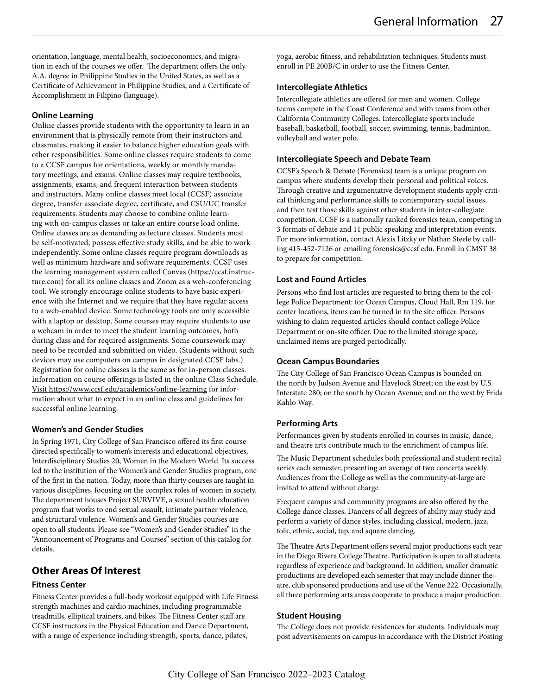orientation, language, mental health, socioeconomics, and migration in each of the courses we offer. The department offers the only A.A. degree in Philippine Studies in the United States, as well as a Certificate of Achievement in Philippine Studies, and a Certificate of Accomplishment in Filipino (language).

#### **Online Learning**

Online classes provide students with the opportunity to learn in an environment that is physically remote from their instructors and classmates, making it easier to balance higher education goals with other responsibilities. Some online classes require students to come to a CCSF campus for orientations, weekly or monthly mandatory meetings, and exams. Online classes may require textbooks, assignments, exams, and frequent interaction between students and instructors. Many online classes meet local (CCSF) associate degree, transfer associate degree, certificate, and CSU/UC transfer requirements. Students may choose to combine online learning with on-campus classes or take an entire course load online. Online classes are as demanding as lecture classes. Students must be self-motivated, possess effective study skills, and be able to work independently. Some online classes require program downloads as well as minimum hardware and software requirements. CCSF uses the learning management system called Canvas (https://ccsf.instructure.com) for all its online classes and Zoom as a web-conferencing tool. We strongly encourage online students to have basic experience with the Internet and we require that they have regular access to a web-enabled device. Some technology tools are only accessible with a laptop or desktop. Some courses may require students to use a webcam in order to meet the student learning outcomes, both during class and for required assignments. Some coursework may need to be recorded and submitted on video. (Students without such devices may use computers on campus in designated CCSF labs.) Registration for online classes is the same as for in-person classes. Information on course offerings is listed in the online Class Schedule. Visit https://www.ccsf.edu/academics/online-learning for information about what to expect in an online class and guidelines for successful online learning.

# **Women's and Gender Studies**

In Spring 1971, City College of San Francisco offered its first course directed specifically to women's interests and educational objectives, Interdisciplinary Studies 20, Women in the Modern World. Its success led to the institution of the Women's and Gender Studies program, one of the first in the nation. Today, more than thirty courses are taught in various disciplines, focusing on the complex roles of women in society. The department houses Project SURVIVE, a sexual health education program that works to end sexual assault, intimate partner violence, and structural violence. Women's and Gender Studies courses are open to all students. Please see "Women's and Gender Studies" in the "Announcement of Programs and Courses" section of this catalog for details.

# **Other Areas Of Interest**

# **Fitness Center**

Fitness Center provides a full-body workout equipped with Life Fitness strength machines and cardio machines, including programmable treadmills, elliptical trainers, and bikes. The Fitness Center staff are CCSF instructors in the Physical Education and Dance Department, with a range of experience including strength, sports, dance, pilates,

yoga, aerobic fitness, and rehabilitation techniques. Students must enroll in PE 200B/C in order to use the Fitness Center.

## **Intercollegiate Athletics**

Intercollegiate athletics are offered for men and women. College teams compete in the Coast Conference and with teams from other California Community Colleges. Intercollegiate sports include baseball, basketball, football, soccer, swimming, tennis, badminton, volleyball and water polo.

# **Intercollegiate Speech and Debate Team**

CCSF's Speech & Debate (Forensics) team is a unique program on campus where students develop their personal and political voices. Through creative and argumentative development students apply critical thinking and performance skills to contemporary social issues, and then test those skills against other students in inter-collegiate competition. CCSF is a nationally ranked forensics team, competing in 3 formats of debate and 11 public speaking and interpretation events. For more information, contact Alexis Litzky or Nathan Steele by calling 415-452-7126 or emailing forensics@ccsf.edu. Enroll in CMST 38 to prepare for competition.

# **Lost and Found Articles**

Persons who find lost articles are requested to bring them to the college Police Department: for Ocean Campus, Cloud Hall, Rm 119, for center locations, items can be turned in to the site officer. Persons wishing to claim requested articles should contact college Police Department or on-site officer. Due to the limited storage space, unclaimed items are purged periodically.

# **Ocean Campus Boundaries**

The City College of San Francisco Ocean Campus is bounded on the north by Judson Avenue and Havelock Street; on the east by U.S. Interstate 280; on the south by Ocean Avenue; and on the west by Frida Kahlo Way.

# **Performing Arts**

Performances given by students enrolled in courses in music, dance, and theatre arts contribute much to the enrichment of campus life.

The Music Department schedules both professional and student recital series each semester, presenting an average of two concerts weekly. Audiences from the College as well as the community-at-large are invited to attend without charge.

Frequent campus and community programs are also offered by the College dance classes. Dancers of all degrees of ability may study and perform a variety of dance styles, including classical, modern, jazz, folk, ethnic, social, tap, and square dancing.

The Theatre Arts Department offers several major productions each year in the Diego Rivera College Theatre. Participation is open to all students regardless of experience and background. In addition, smaller dramatic productions are developed each semester that may include dinner theatre, club sponsored productions and use of the Venue 222. Occasionally, all three performing arts areas cooperate to produce a major production.

# **Student Housing**

The College does not provide residences for students. Individuals may post advertisements on campus in accordance with the District Posting